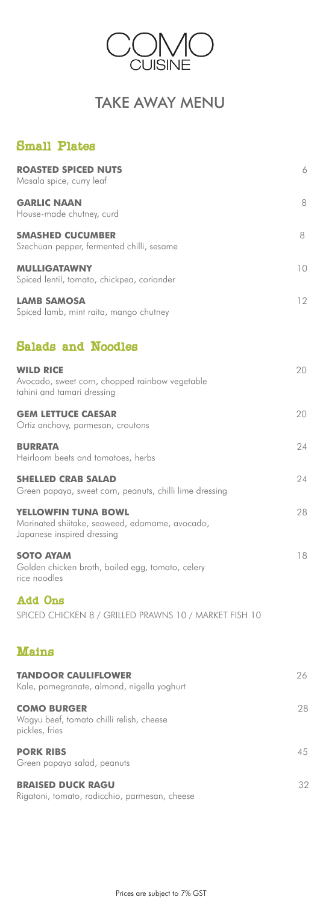| <b>ROASTED SPICED NUTS</b><br>Masala spice, curry leaf                                              | 6  |
|-----------------------------------------------------------------------------------------------------|----|
| <b>GARLIC NAAN</b><br>House-made chutney, curd                                                      | 8  |
| <b>SMASHED CUCUMBER</b><br>Szechuan pepper, fermented chilli, sesame                                | 8  |
| <b>MULLIGATAWNY</b><br>Spiced lentil, tomato, chickpea, coriander                                   | 10 |
| <b>LAMB SAMOSA</b><br>Spiced lamb, mint raita, mango chutney                                        | 12 |
| <b>Salads and Noodles</b>                                                                           |    |
| <b>WILD RICE</b><br>Avocado, sweet corn, chopped rainbow vegetable<br>tahini and tamari dressing    | 20 |
| <b>GEM LETTUCE CAESAR</b><br>Ortiz anchovy, parmesan, croutons                                      | 20 |
| <b>BURRATA</b><br>Heirloom beets and tomatoes, herbs                                                | 24 |
| <b>SHELLED CRAB SALAD</b><br>Green papaya, sweet corn, peanuts, chilli lime dressing                | 24 |
| YELLOWFIN TUNA BOWL<br>Marinated shiitake, seaweed, edamame, avocado,<br>Japanese inspired dressing | 28 |
| <b>SOTO AYAM</b><br>Golden chicken broth, boiled egg, tomato, celery<br>rice noodles                | 18 |
| <b>Add Ons</b>                                                                                      |    |

SPICED CHICKEN 8 / GRILLED PRAWNS 10 / MARKET FISH 10

## Mains

#### **TANDOOR CAULIFLOWER** 26

Kale, pomegranate, almond, nigella yoghurt

### **COMO BURGER** 28

Wagyu beef, tomato chilli relish, cheese pickles, fries

#### **PORK RIBS** 45

Green papaya salad, peanuts

#### **BRAISED DUCK RAGU** 32

Rigatoni, tomato, radicchio, parmesan, cheese

Prices are subject to 7% GST



# TAKE AWAY MENU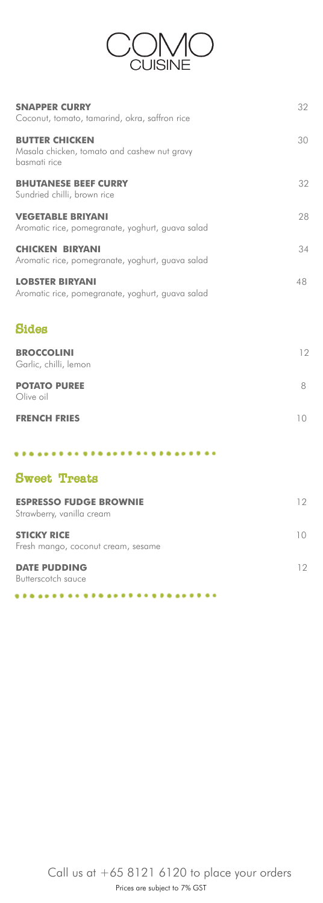

| <b>SNAPPER CURRY</b><br>Coconut, tomato, tamarind, okra, saffron rice                | 32 |
|--------------------------------------------------------------------------------------|----|
| <b>BUTTER CHICKEN</b><br>Masala chicken, tomato and cashew nut gravy<br>basmati rice | 30 |
| <b>BHUTANESE BEEF CURRY</b><br>Sundried chilli, brown rice                           | 32 |
| <b>VEGETABLE BRIYANI</b><br>Aromatic rice, pomegranate, yoghurt, guava salad         | 28 |
| <b>CHICKEN BIRYANI</b><br>Aromatic rice, pomegranate, yoghurt, guava salad           | 34 |
| <b>LOBSTER BIRYANI</b><br>Aromatic rice, pomegranate, yoghurt, guava salad           | 48 |

### Prices are subject to 7% GST Call us at  $+6581216120$  to place your orders

## Sides

| <b>BROCCOLINI</b><br>Garlic, chilli, lemon | 12 |
|--------------------------------------------|----|
| <b>POTATO PUREE</b><br>Olive oil           |    |

| <b>FRENCH FRIES</b> | 10 |
|---------------------|----|

..............

## Sweet Treats

| <b>ESPRESSO FUDGE BROWNIE</b><br>Strawberry, vanilla cream |  |
|------------------------------------------------------------|--|
| <b>STICKY RICE</b><br>Fresh mango, coconut cream, sesame   |  |
| <b>DATE PUDDING</b><br>Butterscotch sauce                  |  |

. . . . . . . . .